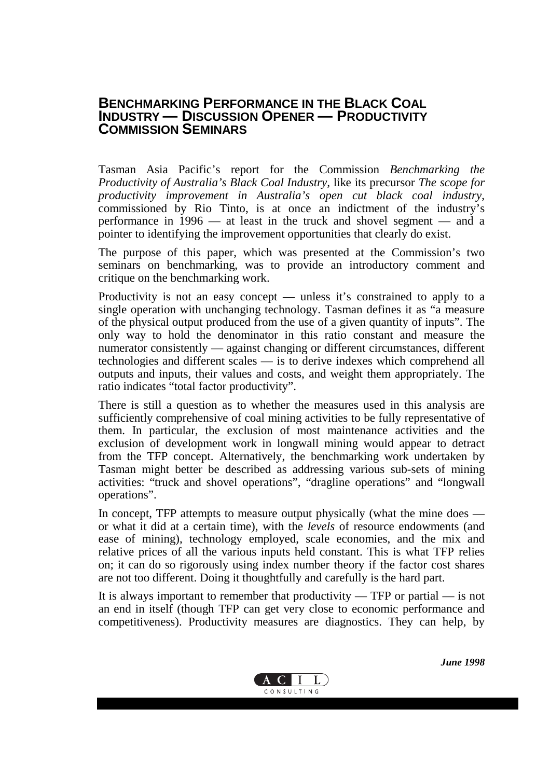## **BENCHMARKING PERFORMANCE IN THE BLACK COAL INDUSTRY — DISCUSSION OPENER — PRODUCTIVITY COMMISSION SEMINARS**

Tasman Asia Pacific's report for the Commission *Benchmarking the Productivity of Australia's Black Coal Industry,* like its precursor *The scope for productivity improvement in Australia's open cut black coal industry*, commissioned by Rio Tinto, is at once an indictment of the industry's performance in 1996 — at least in the truck and shovel segment — and a pointer to identifying the improvement opportunities that clearly do exist.

The purpose of this paper, which was presented at the Commission's two seminars on benchmarking, was to provide an introductory comment and critique on the benchmarking work.

Productivity is not an easy concept — unless it's constrained to apply to a single operation with unchanging technology. Tasman defines it as "a measure of the physical output produced from the use of a given quantity of inputs". The only way to hold the denominator in this ratio constant and measure the numerator consistently — against changing or different circumstances, different technologies and different scales — is to derive indexes which comprehend all outputs and inputs, their values and costs, and weight them appropriately. The ratio indicates "total factor productivity".

There is still a question as to whether the measures used in this analysis are sufficiently comprehensive of coal mining activities to be fully representative of them. In particular, the exclusion of most maintenance activities and the exclusion of development work in longwall mining would appear to detract from the TFP concept. Alternatively, the benchmarking work undertaken by Tasman might better be described as addressing various sub-sets of mining activities: "truck and shovel operations", "dragline operations" and "longwall operations".

In concept, TFP attempts to measure output physically (what the mine does or what it did at a certain time), with the *levels* of resource endowments (and ease of mining), technology employed, scale economies, and the mix and relative prices of all the various inputs held constant. This is what TFP relies on; it can do so rigorously using index number theory if the factor cost shares are not too different. Doing it thoughtfully and carefully is the hard part.

It is always important to remember that productivity — TFP or partial — is not an end in itself (though TFP can get very close to economic performance and competitiveness). Productivity measures are diagnostics. They can help, by

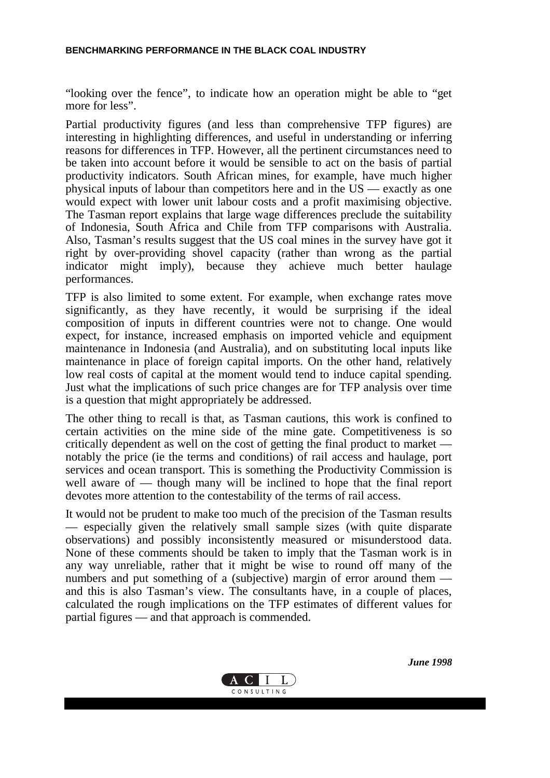## **BENCHMARKING PERFORMANCE IN THE BLACK COAL INDUSTRY**

"looking over the fence", to indicate how an operation might be able to "get more for less".

Partial productivity figures (and less than comprehensive TFP figures) are interesting in highlighting differences, and useful in understanding or inferring reasons for differences in TFP. However, all the pertinent circumstances need to be taken into account before it would be sensible to act on the basis of partial productivity indicators. South African mines, for example, have much higher physical inputs of labour than competitors here and in the US — exactly as one would expect with lower unit labour costs and a profit maximising objective. The Tasman report explains that large wage differences preclude the suitability of Indonesia, South Africa and Chile from TFP comparisons with Australia. Also, Tasman's results suggest that the US coal mines in the survey have got it right by over-providing shovel capacity (rather than wrong as the partial indicator might imply), because they achieve much better haulage performances.

TFP is also limited to some extent. For example, when exchange rates move significantly, as they have recently, it would be surprising if the ideal composition of inputs in different countries were not to change. One would expect, for instance, increased emphasis on imported vehicle and equipment maintenance in Indonesia (and Australia), and on substituting local inputs like maintenance in place of foreign capital imports. On the other hand, relatively low real costs of capital at the moment would tend to induce capital spending. Just what the implications of such price changes are for TFP analysis over time is a question that might appropriately be addressed.

The other thing to recall is that, as Tasman cautions, this work is confined to certain activities on the mine side of the mine gate. Competitiveness is so critically dependent as well on the cost of getting the final product to market notably the price (ie the terms and conditions) of rail access and haulage, port services and ocean transport. This is something the Productivity Commission is well aware of — though many will be inclined to hope that the final report devotes more attention to the contestability of the terms of rail access.

It would not be prudent to make too much of the precision of the Tasman results — especially given the relatively small sample sizes (with quite disparate observations) and possibly inconsistently measured or misunderstood data. None of these comments should be taken to imply that the Tasman work is in any way unreliable, rather that it might be wise to round off many of the numbers and put something of a (subjective) margin of error around them and this is also Tasman's view. The consultants have, in a couple of places, calculated the rough implications on the TFP estimates of different values for partial figures — and that approach is commended.

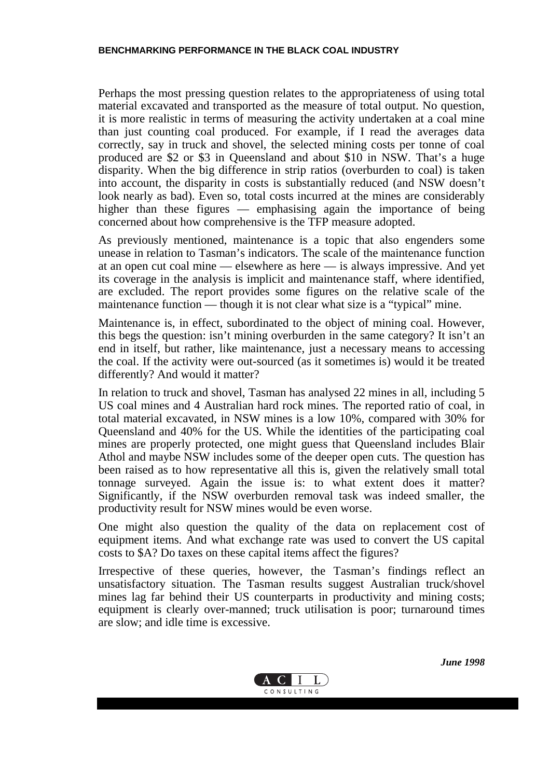Perhaps the most pressing question relates to the appropriateness of using total material excavated and transported as the measure of total output. No question, it is more realistic in terms of measuring the activity undertaken at a coal mine than just counting coal produced. For example, if I read the averages data correctly, say in truck and shovel, the selected mining costs per tonne of coal produced are \$2 or \$3 in Queensland and about \$10 in NSW. That's a huge disparity. When the big difference in strip ratios (overburden to coal) is taken into account, the disparity in costs is substantially reduced (and NSW doesn't look nearly as bad). Even so, total costs incurred at the mines are considerably higher than these figures — emphasising again the importance of being concerned about how comprehensive is the TFP measure adopted.

As previously mentioned, maintenance is a topic that also engenders some unease in relation to Tasman's indicators. The scale of the maintenance function at an open cut coal mine — elsewhere as here — is always impressive. And yet its coverage in the analysis is implicit and maintenance staff, where identified, are excluded. The report provides some figures on the relative scale of the maintenance function — though it is not clear what size is a "typical" mine.

Maintenance is, in effect, subordinated to the object of mining coal. However, this begs the question: isn't mining overburden in the same category? It isn't an end in itself, but rather, like maintenance, just a necessary means to accessing the coal. If the activity were out-sourced (as it sometimes is) would it be treated differently? And would it matter?

In relation to truck and shovel, Tasman has analysed 22 mines in all, including 5 US coal mines and 4 Australian hard rock mines. The reported ratio of coal, in total material excavated, in NSW mines is a low 10%, compared with 30% for Queensland and 40% for the US. While the identities of the participating coal mines are properly protected, one might guess that Queensland includes Blair Athol and maybe NSW includes some of the deeper open cuts. The question has been raised as to how representative all this is, given the relatively small total tonnage surveyed. Again the issue is: to what extent does it matter? Significantly, if the NSW overburden removal task was indeed smaller, the productivity result for NSW mines would be even worse.

One might also question the quality of the data on replacement cost of equipment items. And what exchange rate was used to convert the US capital costs to \$A? Do taxes on these capital items affect the figures?

Irrespective of these queries, however, the Tasman's findings reflect an unsatisfactory situation. The Tasman results suggest Australian truck/shovel mines lag far behind their US counterparts in productivity and mining costs; equipment is clearly over-manned; truck utilisation is poor; turnaround times are slow; and idle time is excessive.